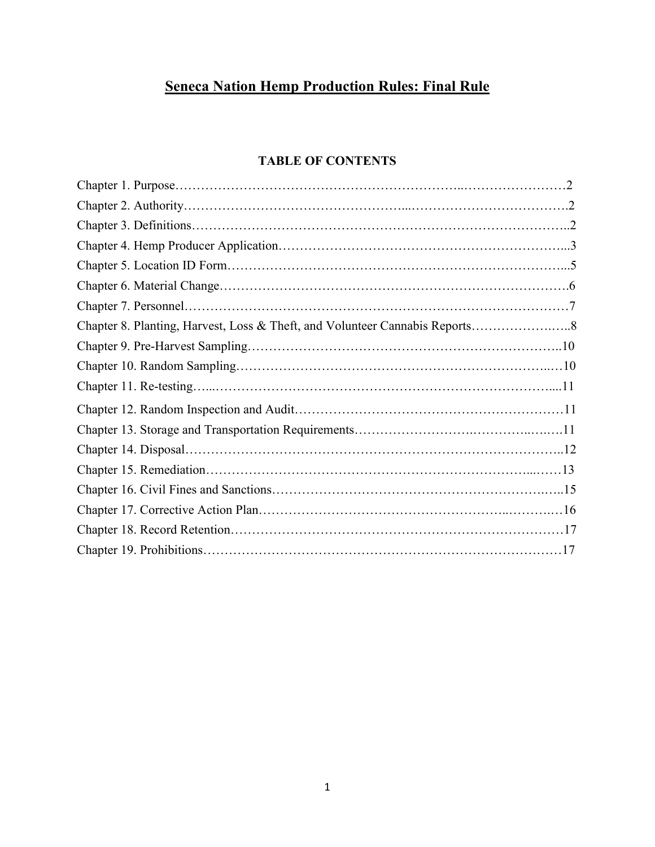# **Seneca Nation Hemp Production Rules: Final Rule**

# **TABLE OF CONTENTS**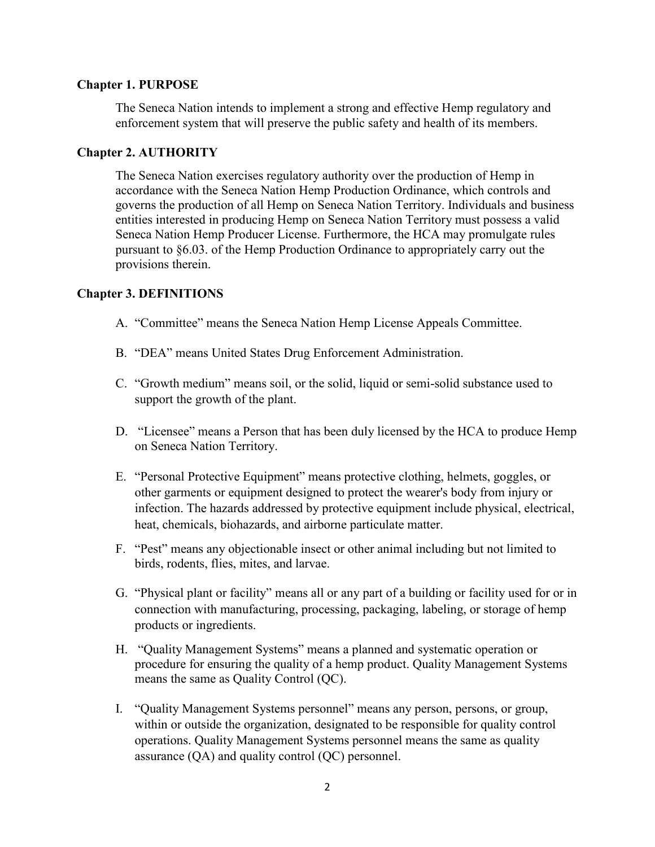#### **Chapter 1. PURPOSE**

The Seneca Nation intends to implement a strong and effective Hemp regulatory and enforcement system that will preserve the public safety and health of its members.

#### **Chapter 2. AUTHORITY**

The Seneca Nation exercises regulatory authority over the production of Hemp in accordance with the Seneca Nation Hemp Production Ordinance, which controls and governs the production of all Hemp on Seneca Nation Territory. Individuals and business entities interested in producing Hemp on Seneca Nation Territory must possess a valid Seneca Nation Hemp Producer License. Furthermore, the HCA may promulgate rules pursuant to §6.03. of the Hemp Production Ordinance to appropriately carry out the provisions therein.

#### **Chapter 3. DEFINITIONS**

- A. "Committee" means the Seneca Nation Hemp License Appeals Committee.
- B. "DEA" means United States Drug Enforcement Administration.
- C. "Growth medium" means soil, or the solid, liquid or semi-solid substance used to support the growth of the plant.
- D. "Licensee" means a Person that has been duly licensed by the HCA to produce Hemp on Seneca Nation Territory.
- E. "Personal Protective Equipment" means protective clothing, helmets, goggles, or other garments or equipment designed to protect the wearer's body from injury or infection. The hazards addressed by protective equipment include physical, electrical, heat, chemicals, biohazards, and airborne particulate matter.
- F. "Pest" means any objectionable insect or other animal including but not limited to birds, rodents, flies, mites, and larvae.
- G. "Physical plant or facility" means all or any part of a building or facility used for or in connection with manufacturing, processing, packaging, labeling, or storage of hemp products or ingredients.
- H. "Quality Management Systems" means a planned and systematic operation or procedure for ensuring the quality of a hemp product. Quality Management Systems means the same as Quality Control (QC).
- I. "Quality Management Systems personnel" means any person, persons, or group, within or outside the organization, designated to be responsible for quality control operations. Quality Management Systems personnel means the same as quality assurance (QA) and quality control (QC) personnel.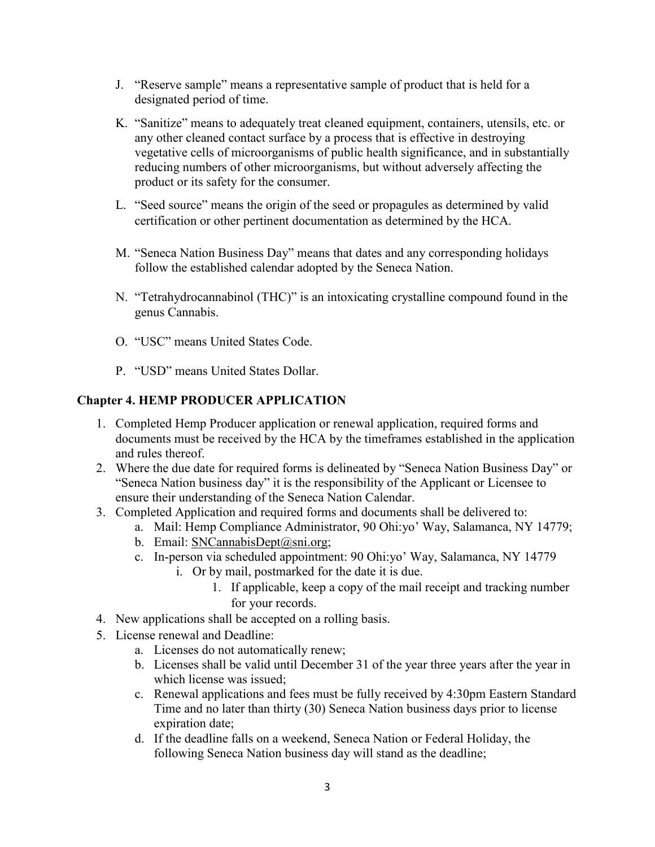- J. "Reserve sample" means a representative sample of product that is held for a designated period of time.
- K. "Sanitize" means to adequately treat cleaned equipment, containers, utensils, etc. or any other cleaned contact surface by a process that is effective in destroying vegetative cells of microorganisms of public health significance, and in substantially reducing numbers of other microorganisms, but without adversely affecting the product or its safety for the consumer.
- L. "Seed source" means the origin of the seed or propagules as determined by valid certification or other pertinent documentation as determined by the HCA.
- M. "Seneca Nation Business Day" means that dates and any corresponding holidays follow the established calendar adopted by the Seneca Nation.
- N. "Tetrahydrocannabinol (THC)" is an intoxicating crystalline compound found in the genus Cannabis.
- O. "USC" means United States Code.
- P. "USD" means United States Dollar.

#### **Chapter 4. HEMP PRODUCER APPLICATION**

- 1. Completed Hemp Producer application or renewal application, required forms and documents must be received by the HCA by the timeframes established in the application and rules thereof.
- 2. Where the due date for required forms is delineated by "Seneca Nation Business Day" or "Seneca Nation business day" it is the responsibility of the Applicant or Licensee to ensure their understanding of the Seneca Nation Calendar.
- 3. Completed Application and required forms and documents shall be delivered to:
	- a. Mail: Hemp Compliance Administrator, 90 Ohi:yo' Way, Salamanca, NY 14779;
	- b. Email: [SNCannabisDept@sni.org;](mailto:SNCannabisDept@sni.org)
	- c. In-person via scheduled appointment: 90 Ohi:yo' Way, Salamanca, NY 14779
		- i. Or by mail, postmarked for the date it is due.
			- 1. If applicable, keep a copy of the mail receipt and tracking number for your records.
- 4. New applications shall be accepted on a rolling basis.
- 5. License renewal and Deadline:
	- a. Licenses do not automatically renew;
	- b. Licenses shall be valid until December 31 of the year three years after the year in which license was issued;
	- c. Renewal applications and fees must be fully received by 4:30pm Eastern Standard Time and no later than thirty (30) Seneca Nation business days prior to license expiration date;
	- d. If the deadline falls on a weekend, Seneca Nation or Federal Holiday, the following Seneca Nation business day will stand as the deadline;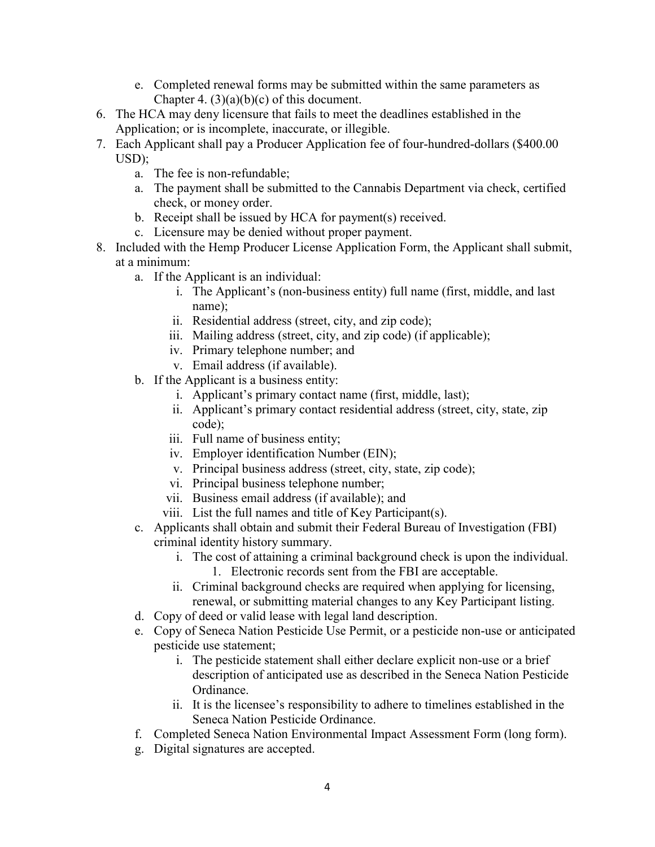- e. Completed renewal forms may be submitted within the same parameters as Chapter 4.  $(3)(a)(b)(c)$  of this document.
- 6. The HCA may deny licensure that fails to meet the deadlines established in the Application; or is incomplete, inaccurate, or illegible.
- 7. Each Applicant shall pay a Producer Application fee of four-hundred-dollars (\$400.00 USD);
	- a. The fee is non-refundable;
	- a. The payment shall be submitted to the Cannabis Department via check, certified check, or money order.
	- b. Receipt shall be issued by HCA for payment(s) received.
	- c. Licensure may be denied without proper payment.
- 8. Included with the Hemp Producer License Application Form, the Applicant shall submit, at a minimum:
	- a. If the Applicant is an individual:
		- i. The Applicant's (non-business entity) full name (first, middle, and last name);
		- ii. Residential address (street, city, and zip code);
		- iii. Mailing address (street, city, and zip code) (if applicable);
		- iv. Primary telephone number; and
		- v. Email address (if available).
	- b. If the Applicant is a business entity:
		- i. Applicant's primary contact name (first, middle, last);
		- ii. Applicant's primary contact residential address (street, city, state, zip code);
		- iii. Full name of business entity;
		- iv. Employer identification Number (EIN);
		- v. Principal business address (street, city, state, zip code);
		- vi. Principal business telephone number;
		- vii. Business email address (if available); and
		- viii. List the full names and title of Key Participant(s).
	- c. Applicants shall obtain and submit their Federal Bureau of Investigation (FBI) criminal identity history summary.
		- i. The cost of attaining a criminal background check is upon the individual. 1. Electronic records sent from the FBI are acceptable.
		- ii. Criminal background checks are required when applying for licensing, renewal, or submitting material changes to any Key Participant listing.
	- d. Copy of deed or valid lease with legal land description.
	- e. Copy of Seneca Nation Pesticide Use Permit, or a pesticide non-use or anticipated pesticide use statement;
		- i. The pesticide statement shall either declare explicit non-use or a brief description of anticipated use as described in the Seneca Nation Pesticide Ordinance.
		- ii. It is the licensee's responsibility to adhere to timelines established in the Seneca Nation Pesticide Ordinance.
	- f. Completed Seneca Nation Environmental Impact Assessment Form (long form).
	- g. Digital signatures are accepted.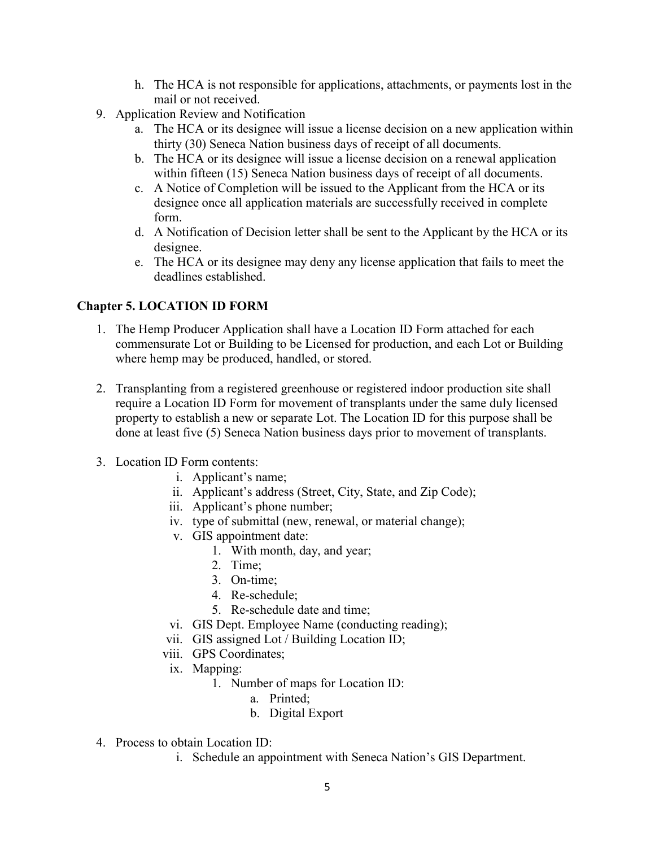- h. The HCA is not responsible for applications, attachments, or payments lost in the mail or not received.
- 9. Application Review and Notification
	- a. The HCA or its designee will issue a license decision on a new application within thirty (30) Seneca Nation business days of receipt of all documents.
	- b. The HCA or its designee will issue a license decision on a renewal application within fifteen (15) Seneca Nation business days of receipt of all documents.
	- c. A Notice of Completion will be issued to the Applicant from the HCA or its designee once all application materials are successfully received in complete form.
	- d. A Notification of Decision letter shall be sent to the Applicant by the HCA or its designee.
	- e. The HCA or its designee may deny any license application that fails to meet the deadlines established.

# **Chapter 5. LOCATION ID FORM**

- 1. The Hemp Producer Application shall have a Location ID Form attached for each commensurate Lot or Building to be Licensed for production, and each Lot or Building where hemp may be produced, handled, or stored.
- 2. Transplanting from a registered greenhouse or registered indoor production site shall require a Location ID Form for movement of transplants under the same duly licensed property to establish a new or separate Lot. The Location ID for this purpose shall be done at least five (5) Seneca Nation business days prior to movement of transplants.
- 3. Location ID Form contents:
	- i. Applicant's name;
	- ii. Applicant's address (Street, City, State, and Zip Code);
	- iii. Applicant's phone number;
	- iv. type of submittal (new, renewal, or material change);
	- v. GIS appointment date:
		- 1. With month, day, and year;
		- 2. Time;
		- 3. On-time;
		- 4. Re-schedule;
		- 5. Re-schedule date and time;
	- vi. GIS Dept. Employee Name (conducting reading);
	- vii. GIS assigned Lot / Building Location ID;
	- viii. GPS Coordinates;
	- ix. Mapping:
		- 1. Number of maps for Location ID:
			- a. Printed;
			- b. Digital Export
- 4. Process to obtain Location ID:
	- i. Schedule an appointment with Seneca Nation's GIS Department.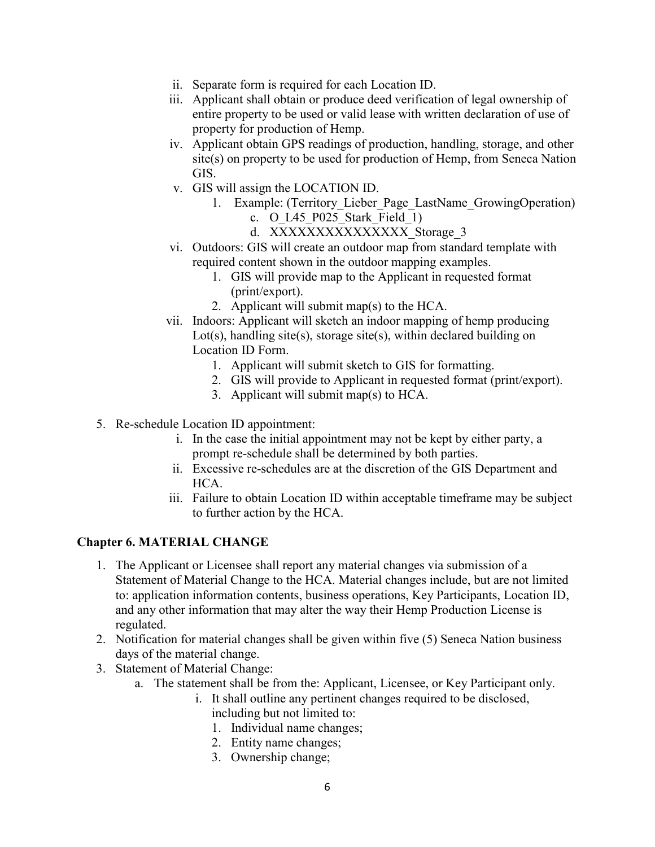- ii. Separate form is required for each Location ID.
- iii. Applicant shall obtain or produce deed verification of legal ownership of entire property to be used or valid lease with written declaration of use of property for production of Hemp.
- iv. Applicant obtain GPS readings of production, handling, storage, and other site(s) on property to be used for production of Hemp, from Seneca Nation GIS.
- v. GIS will assign the LOCATION ID.
	- 1. Example: (Territory\_Lieber\_Page\_LastName\_GrowingOperation) c. O\_L45\_P025\_Stark\_Field\_1)
		- d. XXXXXXXXXXXXXXX Storage 3
- vi. Outdoors: GIS will create an outdoor map from standard template with required content shown in the outdoor mapping examples.
	- 1. GIS will provide map to the Applicant in requested format (print/export).
	- 2. Applicant will submit map(s) to the HCA.
- vii. Indoors: Applicant will sketch an indoor mapping of hemp producing Lot(s), handling site(s), storage site(s), within declared building on Location ID Form.
	- 1. Applicant will submit sketch to GIS for formatting.
	- 2. GIS will provide to Applicant in requested format (print/export).
	- 3. Applicant will submit map(s) to HCA.
- 5. Re-schedule Location ID appointment:
	- i. In the case the initial appointment may not be kept by either party, a prompt re-schedule shall be determined by both parties.
	- ii. Excessive re-schedules are at the discretion of the GIS Department and HCA.
	- iii. Failure to obtain Location ID within acceptable timeframe may be subject to further action by the HCA.

#### **Chapter 6. MATERIAL CHANGE**

- 1. The Applicant or Licensee shall report any material changes via submission of a Statement of Material Change to the HCA. Material changes include, but are not limited to: application information contents, business operations, Key Participants, Location ID, and any other information that may alter the way their Hemp Production License is regulated.
- 2. Notification for material changes shall be given within five (5) Seneca Nation business days of the material change.
- 3. Statement of Material Change:
	- a. The statement shall be from the: Applicant, Licensee, or Key Participant only.
		- i. It shall outline any pertinent changes required to be disclosed, including but not limited to:
			- 1. Individual name changes;
			- 2. Entity name changes;
			- 3. Ownership change;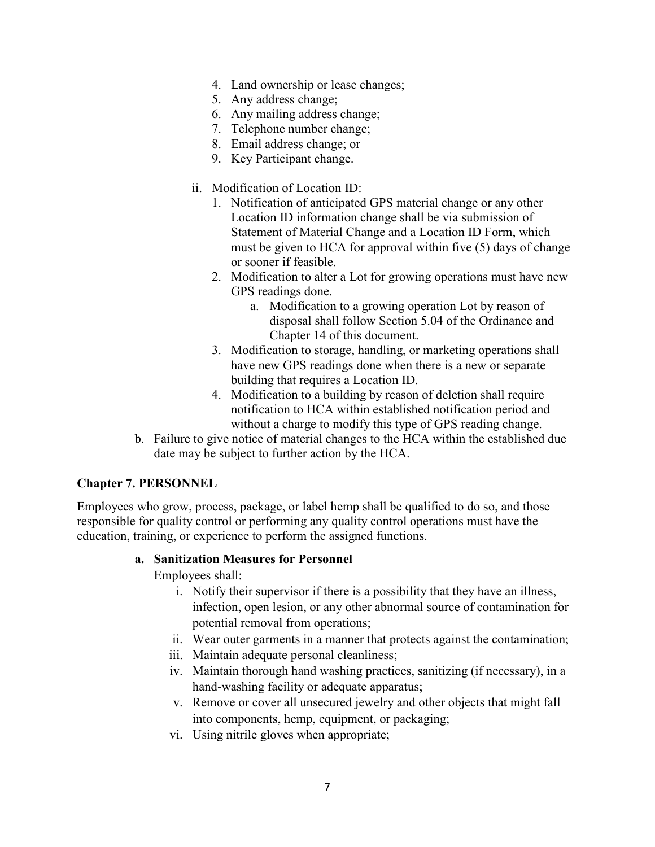- 4. Land ownership or lease changes;
- 5. Any address change;
- 6. Any mailing address change;
- 7. Telephone number change;
- 8. Email address change; or
- 9. Key Participant change.
- ii. Modification of Location ID:
	- 1. Notification of anticipated GPS material change or any other Location ID information change shall be via submission of Statement of Material Change and a Location ID Form, which must be given to HCA for approval within five (5) days of change or sooner if feasible.
	- 2. Modification to alter a Lot for growing operations must have new GPS readings done.
		- a. Modification to a growing operation Lot by reason of disposal shall follow Section 5.04 of the Ordinance and Chapter 14 of this document.
	- 3. Modification to storage, handling, or marketing operations shall have new GPS readings done when there is a new or separate building that requires a Location ID.
	- 4. Modification to a building by reason of deletion shall require notification to HCA within established notification period and without a charge to modify this type of GPS reading change.
- b. Failure to give notice of material changes to the HCA within the established due date may be subject to further action by the HCA.

#### **Chapter 7. PERSONNEL**

Employees who grow, process, package, or label hemp shall be qualified to do so, and those responsible for quality control or performing any quality control operations must have the education, training, or experience to perform the assigned functions.

#### **a. Sanitization Measures for Personnel**

Employees shall:

- i. Notify their supervisor if there is a possibility that they have an illness, infection, open lesion, or any other abnormal source of contamination for potential removal from operations;
- ii. Wear outer garments in a manner that protects against the contamination;
- iii. Maintain adequate personal cleanliness;
- iv. Maintain thorough hand washing practices, sanitizing (if necessary), in a hand-washing facility or adequate apparatus;
- v. Remove or cover all unsecured jewelry and other objects that might fall into components, hemp, equipment, or packaging;
- vi. Using nitrile gloves when appropriate;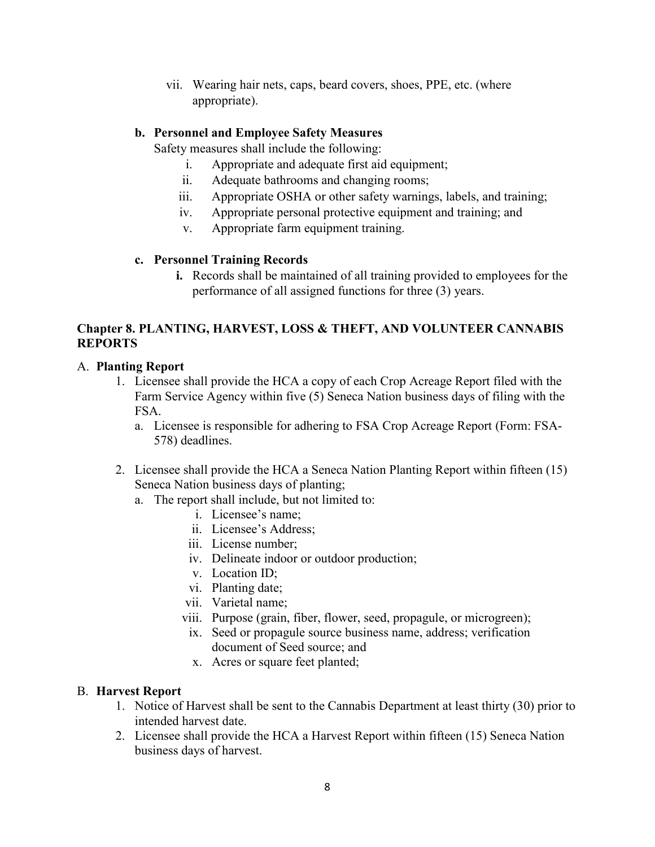vii. Wearing hair nets, caps, beard covers, shoes, PPE, etc. (where appropriate).

# **b. Personnel and Employee Safety Measures**

Safety measures shall include the following:

- i. Appropriate and adequate first aid equipment;
- ii. Adequate bathrooms and changing rooms;
- iii. Appropriate OSHA or other safety warnings, labels, and training;
- iv. Appropriate personal protective equipment and training; and
- v. Appropriate farm equipment training.

# **c. Personnel Training Records**

**i.** Records shall be maintained of all training provided to employees for the performance of all assigned functions for three (3) years.

# **Chapter 8. PLANTING, HARVEST, LOSS & THEFT, AND VOLUNTEER CANNABIS REPORTS**

# A. **Planting Report**

- 1. Licensee shall provide the HCA a copy of each Crop Acreage Report filed with the Farm Service Agency within five (5) Seneca Nation business days of filing with the FSA.
	- a. Licensee is responsible for adhering to FSA Crop Acreage Report (Form: FSA-578) deadlines.
- 2. Licensee shall provide the HCA a Seneca Nation Planting Report within fifteen (15) Seneca Nation business days of planting;
	- a. The report shall include, but not limited to:
		- i. Licensee's name;
		- ii. Licensee's Address;
		- iii. License number;
		- iv. Delineate indoor or outdoor production;
		- v. Location ID;
		- vi. Planting date;
		- vii. Varietal name;
		- viii. Purpose (grain, fiber, flower, seed, propagule, or microgreen);
		- ix. Seed or propagule source business name, address; verification document of Seed source; and
			- x. Acres or square feet planted;

# B. **Harvest Report**

- 1. Notice of Harvest shall be sent to the Cannabis Department at least thirty (30) prior to intended harvest date.
- 2. Licensee shall provide the HCA a Harvest Report within fifteen (15) Seneca Nation business days of harvest.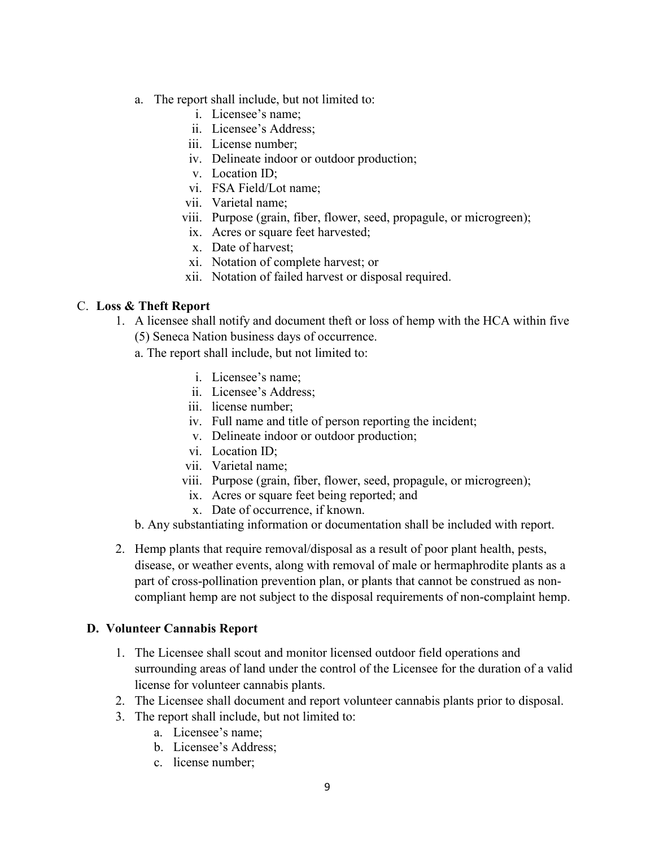- a. The report shall include, but not limited to:
	- i. Licensee's name;
	- ii. Licensee's Address;
	- iii. License number;
	- iv. Delineate indoor or outdoor production;
	- v. Location ID;
	- vi. FSA Field/Lot name;
	- vii. Varietal name;
	- viii. Purpose (grain, fiber, flower, seed, propagule, or microgreen);
		- ix. Acres or square feet harvested;
		- x. Date of harvest;
		- xi. Notation of complete harvest; or
	- xii. Notation of failed harvest or disposal required.

#### C. **Loss & Theft Report**

- 1. A licensee shall notify and document theft or loss of hemp with the HCA within five (5) Seneca Nation business days of occurrence.
	- a. The report shall include, but not limited to:
		- i. Licensee's name;
		- ii. Licensee's Address;
		- iii. license number;
		- iv. Full name and title of person reporting the incident;
		- v. Delineate indoor or outdoor production;
		- vi. Location ID;
		- vii. Varietal name;
		- viii. Purpose (grain, fiber, flower, seed, propagule, or microgreen);
		- ix. Acres or square feet being reported; and
		- x. Date of occurrence, if known.
	- b. Any substantiating information or documentation shall be included with report.
- 2. Hemp plants that require removal/disposal as a result of poor plant health, pests, disease, or weather events, along with removal of male or hermaphrodite plants as a part of cross-pollination prevention plan, or plants that cannot be construed as noncompliant hemp are not subject to the disposal requirements of non-complaint hemp.

#### **D. Volunteer Cannabis Report**

- 1. The Licensee shall scout and monitor licensed outdoor field operations and surrounding areas of land under the control of the Licensee for the duration of a valid license for volunteer cannabis plants.
- 2. The Licensee shall document and report volunteer cannabis plants prior to disposal.
- 3. The report shall include, but not limited to:
	- a. Licensee's name;
	- b. Licensee's Address;
	- c. license number;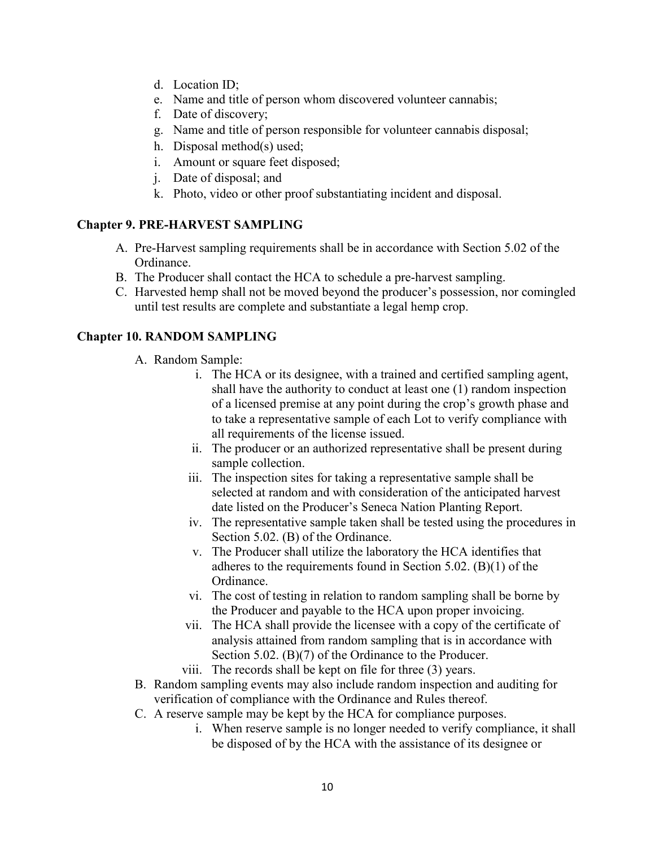- d. Location ID;
- e. Name and title of person whom discovered volunteer cannabis;
- f. Date of discovery;
- g. Name and title of person responsible for volunteer cannabis disposal;
- h. Disposal method(s) used;
- i. Amount or square feet disposed;
- j. Date of disposal; and
- k. Photo, video or other proof substantiating incident and disposal.

#### **Chapter 9. PRE-HARVEST SAMPLING**

- A. Pre-Harvest sampling requirements shall be in accordance with Section 5.02 of the Ordinance.
- B. The Producer shall contact the HCA to schedule a pre-harvest sampling.
- C. Harvested hemp shall not be moved beyond the producer's possession, nor comingled until test results are complete and substantiate a legal hemp crop.

### **Chapter 10. RANDOM SAMPLING**

- A. Random Sample:
	- i. The HCA or its designee, with a trained and certified sampling agent, shall have the authority to conduct at least one (1) random inspection of a licensed premise at any point during the crop's growth phase and to take a representative sample of each Lot to verify compliance with all requirements of the license issued.
	- ii. The producer or an authorized representative shall be present during sample collection.
	- iii. The inspection sites for taking a representative sample shall be selected at random and with consideration of the anticipated harvest date listed on the Producer's Seneca Nation Planting Report.
	- iv. The representative sample taken shall be tested using the procedures in Section 5.02. (B) of the Ordinance.
	- v. The Producer shall utilize the laboratory the HCA identifies that adheres to the requirements found in Section 5.02. (B)(1) of the Ordinance.
	- vi. The cost of testing in relation to random sampling shall be borne by the Producer and payable to the HCA upon proper invoicing.
	- vii. The HCA shall provide the licensee with a copy of the certificate of analysis attained from random sampling that is in accordance with Section 5.02. (B)(7) of the Ordinance to the Producer.
	- viii. The records shall be kept on file for three (3) years.
- B. Random sampling events may also include random inspection and auditing for verification of compliance with the Ordinance and Rules thereof.
- C. A reserve sample may be kept by the HCA for compliance purposes.
	- i. When reserve sample is no longer needed to verify compliance, it shall be disposed of by the HCA with the assistance of its designee or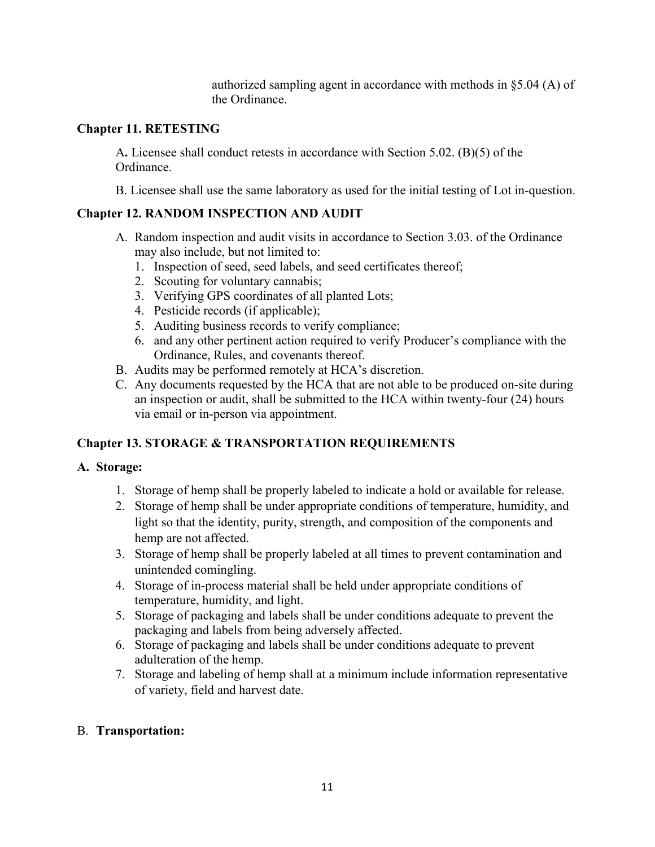authorized sampling agent in accordance with methods in §5.04 (A) of the Ordinance.

### **Chapter 11. RETESTING**

A**.** Licensee shall conduct retests in accordance with Section 5.02. (B)(5) of the Ordinance.

B. Licensee shall use the same laboratory as used for the initial testing of Lot in-question.

### **Chapter 12. RANDOM INSPECTION AND AUDIT**

- A. Random inspection and audit visits in accordance to Section 3.03. of the Ordinance may also include, but not limited to:
	- 1. Inspection of seed, seed labels, and seed certificates thereof;
	- 2. Scouting for voluntary cannabis;
	- 3. Verifying GPS coordinates of all planted Lots;
	- 4. Pesticide records (if applicable);
	- 5. Auditing business records to verify compliance;
	- 6. and any other pertinent action required to verify Producer's compliance with the Ordinance, Rules, and covenants thereof.
- B. Audits may be performed remotely at HCA's discretion.
- C. Any documents requested by the HCA that are not able to be produced on-site during an inspection or audit, shall be submitted to the HCA within twenty-four (24) hours via email or in-person via appointment.

# **Chapter 13. STORAGE & TRANSPORTATION REQUIREMENTS**

- **A. Storage:**
	- 1. Storage of hemp shall be properly labeled to indicate a hold or available for release.
	- 2. Storage of hemp shall be under appropriate conditions of temperature, humidity, and light so that the identity, purity, strength, and composition of the components and hemp are not affected.
	- 3. Storage of hemp shall be properly labeled at all times to prevent contamination and unintended comingling.
	- 4. Storage of in-process material shall be held under appropriate conditions of temperature, humidity, and light.
	- 5. Storage of packaging and labels shall be under conditions adequate to prevent the packaging and labels from being adversely affected.
	- 6. Storage of packaging and labels shall be under conditions adequate to prevent adulteration of the hemp.
	- 7. Storage and labeling of hemp shall at a minimum include information representative of variety, field and harvest date.

### B. **Transportation:**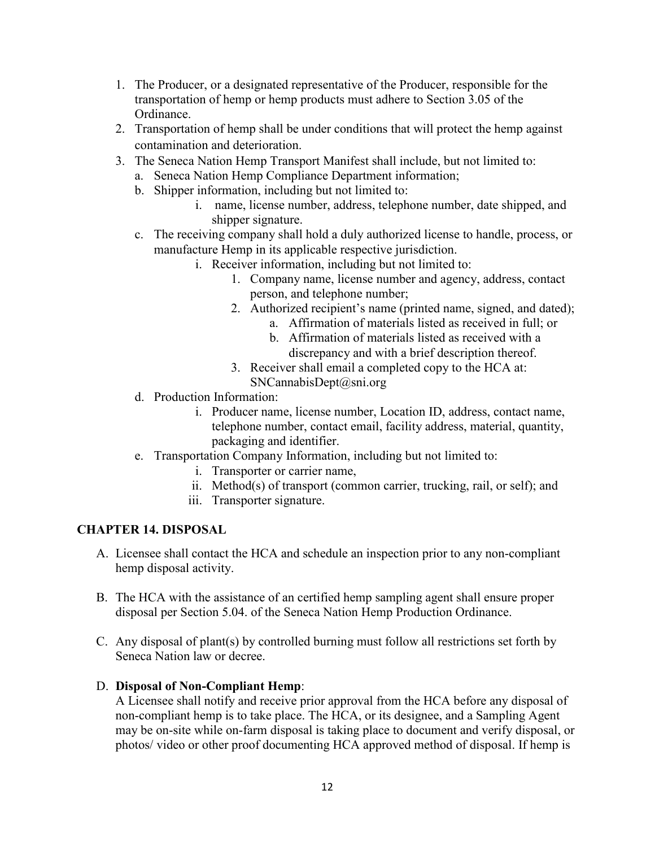- 1. The Producer, or a designated representative of the Producer, responsible for the transportation of hemp or hemp products must adhere to Section 3.05 of the Ordinance.
- 2. Transportation of hemp shall be under conditions that will protect the hemp against contamination and deterioration.
- 3. The Seneca Nation Hemp Transport Manifest shall include, but not limited to:
	- a. Seneca Nation Hemp Compliance Department information;
	- b. Shipper information, including but not limited to:
		- i. name, license number, address, telephone number, date shipped, and shipper signature.
	- c. The receiving company shall hold a duly authorized license to handle, process, or manufacture Hemp in its applicable respective jurisdiction.
		- i. Receiver information, including but not limited to:
			- 1. Company name, license number and agency, address, contact person, and telephone number;
			- 2. Authorized recipient's name (printed name, signed, and dated);
				- a. Affirmation of materials listed as received in full; or
				- b. Affirmation of materials listed as received with a discrepancy and with a brief description thereof.
			- 3. Receiver shall email a completed copy to the HCA at: SNCannabisDept@sni.org
	- d. Production Information:
		- i. Producer name, license number, Location ID, address, contact name, telephone number, contact email, facility address, material, quantity, packaging and identifier.
	- e. Transportation Company Information, including but not limited to:
		- i. Transporter or carrier name,
		- ii. Method(s) of transport (common carrier, trucking, rail, or self); and
		- iii. Transporter signature.

# **CHAPTER 14. DISPOSAL**

- A. Licensee shall contact the HCA and schedule an inspection prior to any non-compliant hemp disposal activity.
- B. The HCA with the assistance of an certified hemp sampling agent shall ensure proper disposal per Section 5.04. of the Seneca Nation Hemp Production Ordinance.
- C. Any disposal of plant(s) by controlled burning must follow all restrictions set forth by Seneca Nation law or decree.

# D. **Disposal of Non-Compliant Hemp**:

A Licensee shall notify and receive prior approval from the HCA before any disposal of non-compliant hemp is to take place. The HCA, or its designee, and a Sampling Agent may be on-site while on-farm disposal is taking place to document and verify disposal, or photos/ video or other proof documenting HCA approved method of disposal. If hemp is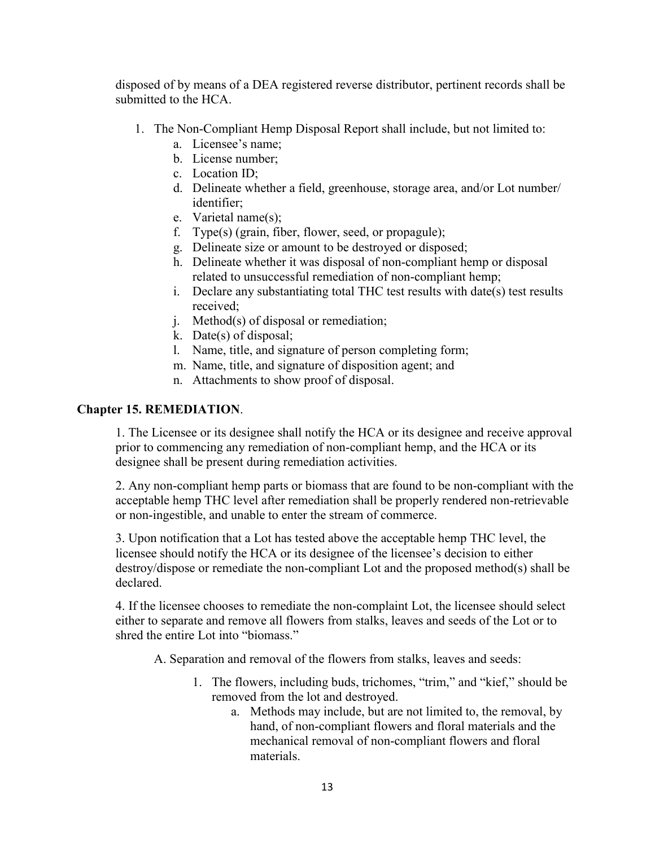disposed of by means of a DEA registered reverse distributor, pertinent records shall be submitted to the HCA.

- 1. The Non-Compliant Hemp Disposal Report shall include, but not limited to:
	- a. Licensee's name;
	- b. License number;
	- c. Location ID;
	- d. Delineate whether a field, greenhouse, storage area, and/or Lot number/ identifier;
	- e. Varietal name(s);
	- f. Type(s) (grain, fiber, flower, seed, or propagule);
	- g. Delineate size or amount to be destroyed or disposed;
	- h. Delineate whether it was disposal of non-compliant hemp or disposal related to unsuccessful remediation of non-compliant hemp;
	- i. Declare any substantiating total THC test results with date(s) test results received;
	- j. Method(s) of disposal or remediation;
	- k. Date(s) of disposal;
	- l. Name, title, and signature of person completing form;
	- m. Name, title, and signature of disposition agent; and
	- n. Attachments to show proof of disposal.

#### **Chapter 15. REMEDIATION**.

1. The Licensee or its designee shall notify the HCA or its designee and receive approval prior to commencing any remediation of non-compliant hemp, and the HCA or its designee shall be present during remediation activities.

2. Any non-compliant hemp parts or biomass that are found to be non-compliant with the acceptable hemp THC level after remediation shall be properly rendered non-retrievable or non-ingestible, and unable to enter the stream of commerce.

3. Upon notification that a Lot has tested above the acceptable hemp THC level, the licensee should notify the HCA or its designee of the licensee's decision to either destroy/dispose or remediate the non-compliant Lot and the proposed method(s) shall be declared.

4. If the licensee chooses to remediate the non-complaint Lot, the licensee should select either to separate and remove all flowers from stalks, leaves and seeds of the Lot or to shred the entire Lot into "biomass."

A. Separation and removal of the flowers from stalks, leaves and seeds:

- 1. The flowers, including buds, trichomes, "trim," and "kief," should be removed from the lot and destroyed.
	- a. Methods may include, but are not limited to, the removal, by hand, of non-compliant flowers and floral materials and the mechanical removal of non-compliant flowers and floral materials.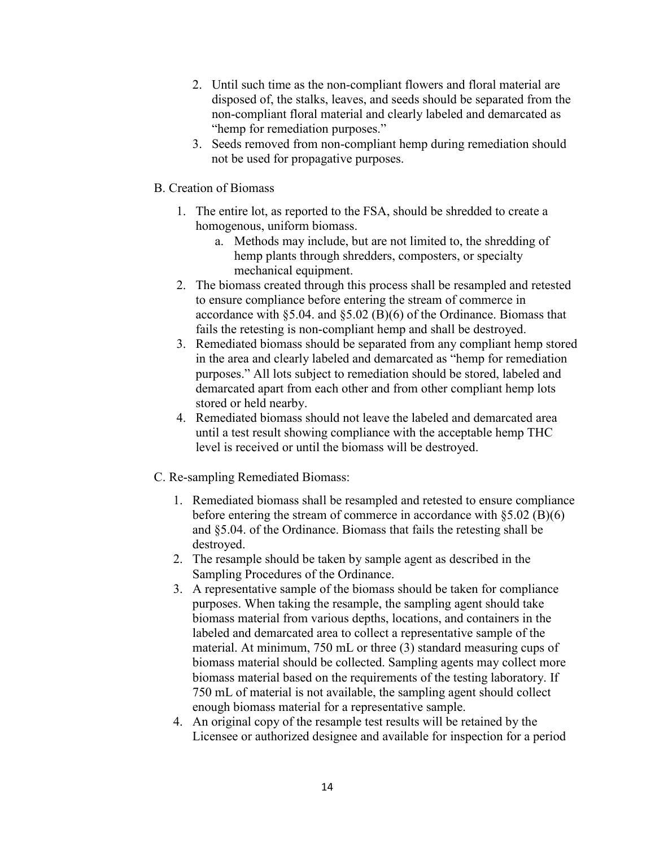- 2. Until such time as the non-compliant flowers and floral material are disposed of, the stalks, leaves, and seeds should be separated from the non-compliant floral material and clearly labeled and demarcated as "hemp for remediation purposes."
- 3. Seeds removed from non-compliant hemp during remediation should not be used for propagative purposes.
- B. Creation of Biomass
	- 1. The entire lot, as reported to the FSA, should be shredded to create a homogenous, uniform biomass.
		- a. Methods may include, but are not limited to, the shredding of hemp plants through shredders, composters, or specialty mechanical equipment.
	- 2. The biomass created through this process shall be resampled and retested to ensure compliance before entering the stream of commerce in accordance with §5.04. and §5.02 (B)(6) of the Ordinance. Biomass that fails the retesting is non-compliant hemp and shall be destroyed.
	- 3. Remediated biomass should be separated from any compliant hemp stored in the area and clearly labeled and demarcated as "hemp for remediation purposes." All lots subject to remediation should be stored, labeled and demarcated apart from each other and from other compliant hemp lots stored or held nearby.
	- 4. Remediated biomass should not leave the labeled and demarcated area until a test result showing compliance with the acceptable hemp THC level is received or until the biomass will be destroyed.
- C. Re-sampling Remediated Biomass:
	- 1. Remediated biomass shall be resampled and retested to ensure compliance before entering the stream of commerce in accordance with §5.02 (B)(6) and §5.04. of the Ordinance. Biomass that fails the retesting shall be destroyed.
	- 2. The resample should be taken by sample agent as described in the Sampling Procedures of the Ordinance.
	- 3. A representative sample of the biomass should be taken for compliance purposes. When taking the resample, the sampling agent should take biomass material from various depths, locations, and containers in the labeled and demarcated area to collect a representative sample of the material. At minimum, 750 mL or three (3) standard measuring cups of biomass material should be collected. Sampling agents may collect more biomass material based on the requirements of the testing laboratory. If 750 mL of material is not available, the sampling agent should collect enough biomass material for a representative sample.
	- 4. An original copy of the resample test results will be retained by the Licensee or authorized designee and available for inspection for a period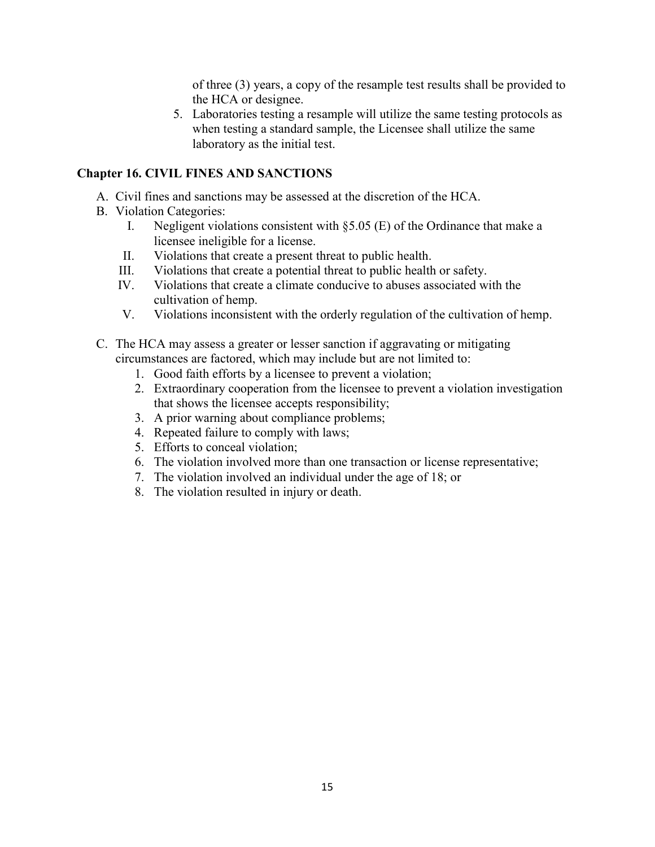of three (3) years, a copy of the resample test results shall be provided to the HCA or designee.

5. Laboratories testing a resample will utilize the same testing protocols as when testing a standard sample, the Licensee shall utilize the same laboratory as the initial test.

# **Chapter 16. CIVIL FINES AND SANCTIONS**

- A. Civil fines and sanctions may be assessed at the discretion of the HCA.
- B. Violation Categories:
	- I. Negligent violations consistent with  $\S 5.05$  (E) of the Ordinance that make a licensee ineligible for a license.
	- II. Violations that create a present threat to public health.
	- III. Violations that create a potential threat to public health or safety.
	- IV. Violations that create a climate conducive to abuses associated with the cultivation of hemp.
	- V. Violations inconsistent with the orderly regulation of the cultivation of hemp.
- C. The HCA may assess a greater or lesser sanction if aggravating or mitigating circumstances are factored, which may include but are not limited to:
	- 1. Good faith efforts by a licensee to prevent a violation;
	- 2. Extraordinary cooperation from the licensee to prevent a violation investigation that shows the licensee accepts responsibility;
	- 3. A prior warning about compliance problems;
	- 4. Repeated failure to comply with laws;
	- 5. Efforts to conceal violation;
	- 6. The violation involved more than one transaction or license representative;
	- 7. The violation involved an individual under the age of 18; or
	- 8. The violation resulted in injury or death.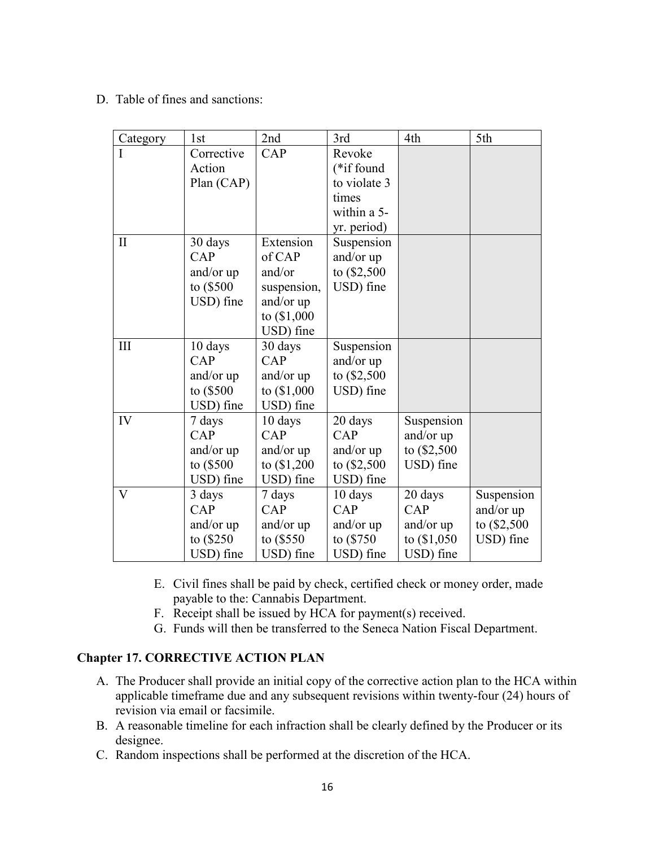D. Table of fines and sanctions:

| Category                | 1st        | 2nd           | 3rd           | 4th           | 5th           |
|-------------------------|------------|---------------|---------------|---------------|---------------|
|                         | Corrective | CAP           | Revoke        |               |               |
|                         | Action     |               | (*if found    |               |               |
|                         | Plan (CAP) |               | to violate 3  |               |               |
|                         |            |               | times         |               |               |
|                         |            |               | within a 5-   |               |               |
|                         |            |               | yr. period)   |               |               |
| $\mathbf{I}$            | 30 days    | Extension     | Suspension    |               |               |
|                         | CAP        | of CAP        | and/or up     |               |               |
|                         | and/or up  | and/or        | to $(\$2,500$ |               |               |
|                         | to (\$500  | suspension,   | USD) fine     |               |               |
|                         | USD) fine  | and/or up     |               |               |               |
|                         |            | to $($1,000$  |               |               |               |
|                         |            | USD) fine     |               |               |               |
| III                     | 10 days    | 30 days       | Suspension    |               |               |
|                         | CAP        | CAP           | and/or up     |               |               |
|                         | and/or up  | and/or up     | to (\$2,500   |               |               |
|                         | to (\$500  | to $($1,000$  | USD) fine     |               |               |
|                         | USD) fine  | USD) fine     |               |               |               |
| IV                      | 7 days     | 10 days       | 20 days       | Suspension    |               |
|                         | CAP        | CAP           | CAP           | and/or up     |               |
|                         | and/or up  | and/or up     | and/or up     | to (\$2,500   |               |
|                         | to (\$500  | to $(\$1,200$ | to $(\$2,500$ | USD) fine     |               |
|                         | USD) fine  | USD) fine     | USD) fine     |               |               |
| $\overline{\mathsf{V}}$ | 3 days     | 7 days        | 10 days       | 20 days       | Suspension    |
|                         | CAP        | CAP           | CAP           | CAP           | and/or up     |
|                         | and/or up  | and/or up     | and/or up     | and/or up     | to $(\$2,500$ |
|                         | to (\$250  | to $(\$550$   | to (\$750)    | to $(\$1,050$ | USD) fine     |
|                         | USD) fine  | USD) fine     | USD) fine     | USD) fine     |               |

- E. Civil fines shall be paid by check, certified check or money order, made payable to the: Cannabis Department.
- F. Receipt shall be issued by HCA for payment(s) received.
- G. Funds will then be transferred to the Seneca Nation Fiscal Department.

### **Chapter 17. CORRECTIVE ACTION PLAN**

- A. The Producer shall provide an initial copy of the corrective action plan to the HCA within applicable timeframe due and any subsequent revisions within twenty-four (24) hours of revision via email or facsimile.
- B. A reasonable timeline for each infraction shall be clearly defined by the Producer or its designee.
- C. Random inspections shall be performed at the discretion of the HCA.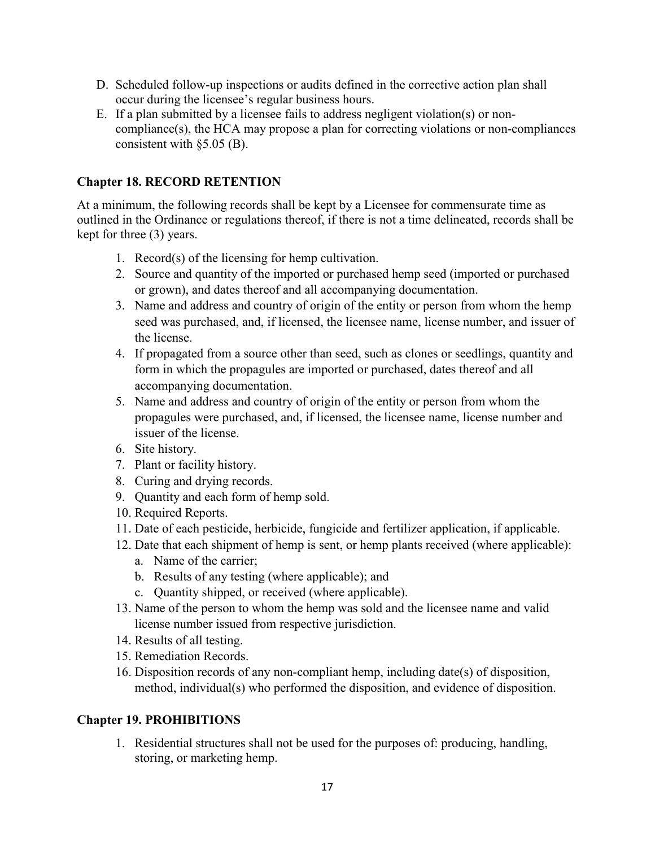- D. Scheduled follow-up inspections or audits defined in the corrective action plan shall occur during the licensee's regular business hours.
- E. If a plan submitted by a licensee fails to address negligent violation(s) or noncompliance(s), the HCA may propose a plan for correcting violations or non-compliances consistent with §5.05 (B).

### **Chapter 18. RECORD RETENTION**

At a minimum, the following records shall be kept by a Licensee for commensurate time as outlined in the Ordinance or regulations thereof, if there is not a time delineated, records shall be kept for three (3) years.

- 1. Record(s) of the licensing for hemp cultivation.
- 2. Source and quantity of the imported or purchased hemp seed (imported or purchased or grown), and dates thereof and all accompanying documentation.
- 3. Name and address and country of origin of the entity or person from whom the hemp seed was purchased, and, if licensed, the licensee name, license number, and issuer of the license.
- 4. If propagated from a source other than seed, such as clones or seedlings, quantity and form in which the propagules are imported or purchased, dates thereof and all accompanying documentation.
- 5. Name and address and country of origin of the entity or person from whom the propagules were purchased, and, if licensed, the licensee name, license number and issuer of the license.
- 6. Site history.
- 7. Plant or facility history.
- 8. Curing and drying records.
- 9. Quantity and each form of hemp sold.
- 10. Required Reports.
- 11. Date of each pesticide, herbicide, fungicide and fertilizer application, if applicable.
- 12. Date that each shipment of hemp is sent, or hemp plants received (where applicable):
	- a. Name of the carrier;
	- b. Results of any testing (where applicable); and
	- c. Quantity shipped, or received (where applicable).
- 13. Name of the person to whom the hemp was sold and the licensee name and valid license number issued from respective jurisdiction.
- 14. Results of all testing.
- 15. Remediation Records.
- 16. Disposition records of any non-compliant hemp, including date(s) of disposition, method, individual(s) who performed the disposition, and evidence of disposition.

# **Chapter 19. PROHIBITIONS**

1. Residential structures shall not be used for the purposes of: producing, handling, storing, or marketing hemp.